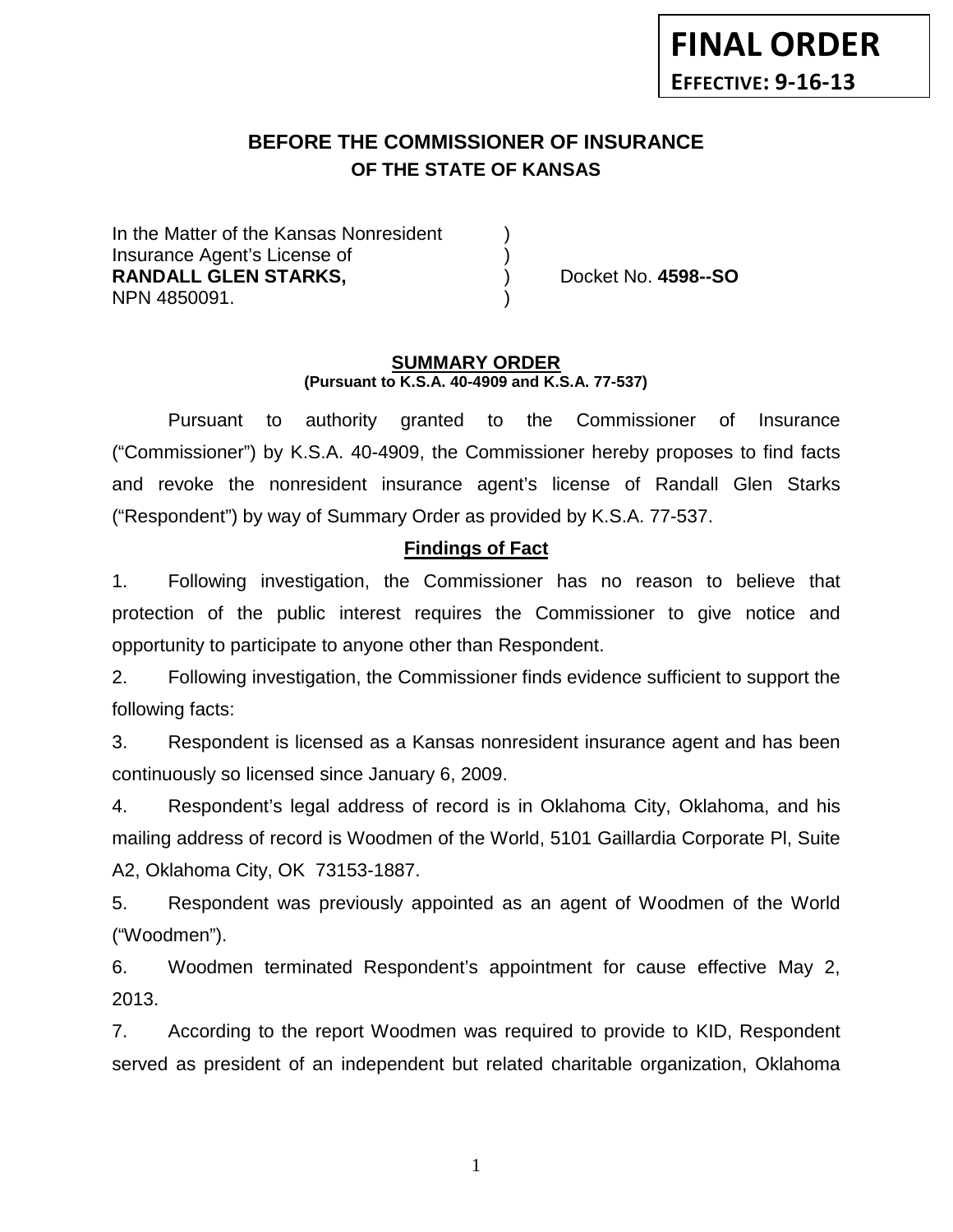# **BEFORE THE COMMISSIONER OF INSURANCE OF THE STATE OF KANSAS**

In the Matter of the Kansas Nonresident Insurance Agent's License of ) **RANDALL GLEN STARKS,** ) Docket No. **4598--SO** NPN 4850091. )

#### **SUMMARY ORDER (Pursuant to K.S.A. 40-4909 and K.S.A. 77-537)**

Pursuant to authority granted to the Commissioner of Insurance ("Commissioner") by K.S.A. 40-4909, the Commissioner hereby proposes to find facts and revoke the nonresident insurance agent's license of Randall Glen Starks ("Respondent") by way of Summary Order as provided by K.S.A. 77-537.

### **Findings of Fact**

1. Following investigation, the Commissioner has no reason to believe that protection of the public interest requires the Commissioner to give notice and opportunity to participate to anyone other than Respondent.

2. Following investigation, the Commissioner finds evidence sufficient to support the following facts:

3. Respondent is licensed as a Kansas nonresident insurance agent and has been continuously so licensed since January 6, 2009.

4. Respondent's legal address of record is in Oklahoma City, Oklahoma, and his mailing address of record is Woodmen of the World, 5101 Gaillardia Corporate Pl, Suite A2, Oklahoma City, OK 73153-1887.

5. Respondent was previously appointed as an agent of Woodmen of the World ("Woodmen").

6. Woodmen terminated Respondent's appointment for cause effective May 2, 2013.

7. According to the report Woodmen was required to provide to KID, Respondent served as president of an independent but related charitable organization, Oklahoma

1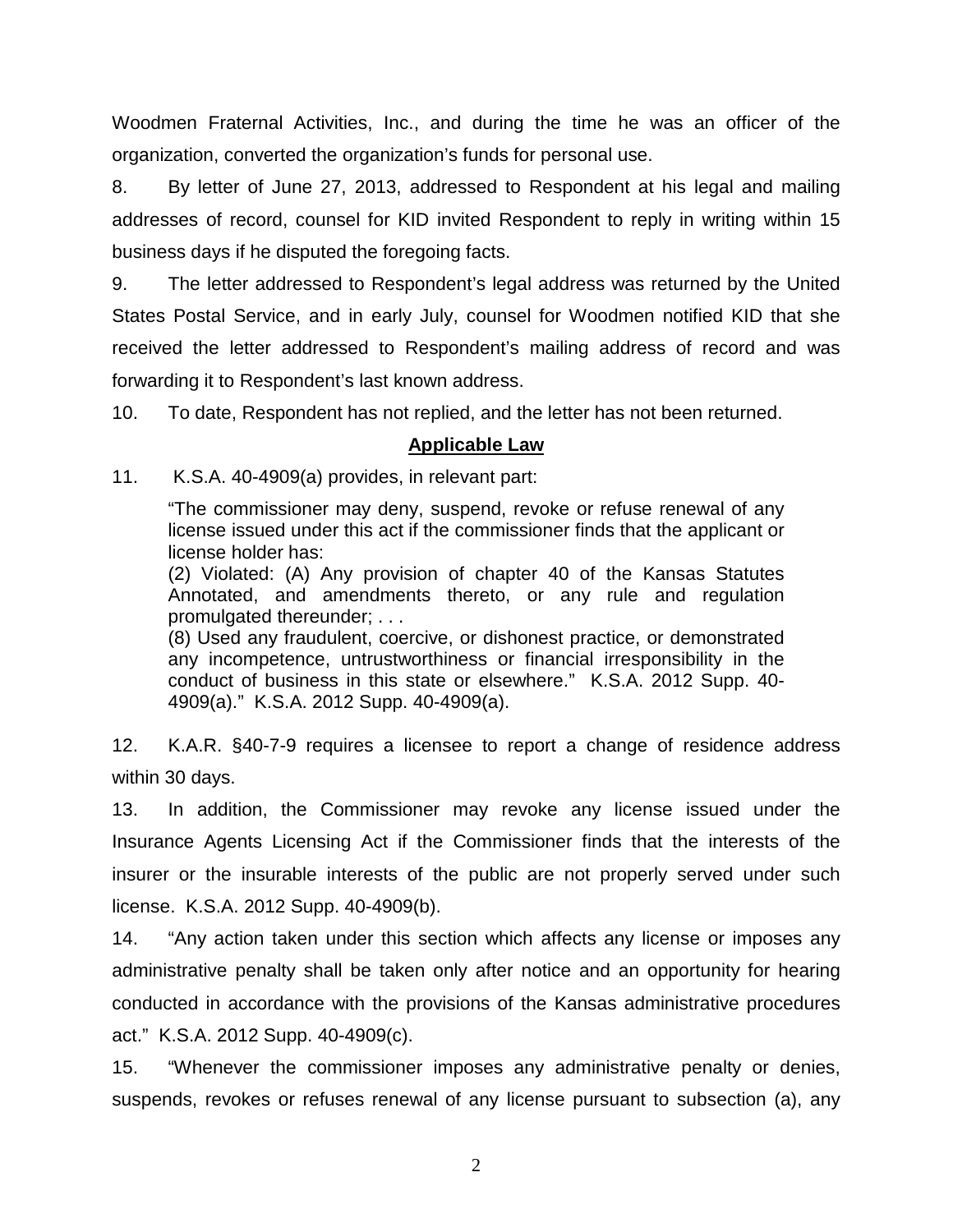Woodmen Fraternal Activities, Inc., and during the time he was an officer of the organization, converted the organization's funds for personal use.

8. By letter of June 27, 2013, addressed to Respondent at his legal and mailing addresses of record, counsel for KID invited Respondent to reply in writing within 15 business days if he disputed the foregoing facts.

9. The letter addressed to Respondent's legal address was returned by the United States Postal Service, and in early July, counsel for Woodmen notified KID that she received the letter addressed to Respondent's mailing address of record and was forwarding it to Respondent's last known address.

10. To date, Respondent has not replied, and the letter has not been returned.

### **Applicable Law**

11. K.S.A. 40-4909(a) provides, in relevant part:

"The commissioner may deny, suspend, revoke or refuse renewal of any license issued under this act if the commissioner finds that the applicant or license holder has:

(2) Violated: (A) Any provision of chapter 40 of the Kansas Statutes Annotated, and amendments thereto, or any rule and regulation promulgated thereunder; . . .

(8) Used any fraudulent, coercive, or dishonest practice, or demonstrated any incompetence, untrustworthiness or financial irresponsibility in the conduct of business in this state or elsewhere." K.S.A. 2012 Supp. 40- 4909(a)." K.S.A. 2012 Supp. 40-4909(a).

12. K.A.R. §40-7-9 requires a licensee to report a change of residence address within 30 days.

13. In addition, the Commissioner may revoke any license issued under the Insurance Agents Licensing Act if the Commissioner finds that the interests of the insurer or the insurable interests of the public are not properly served under such license. K.S.A. 2012 Supp. 40-4909(b).

14. "Any action taken under this section which affects any license or imposes any administrative penalty shall be taken only after notice and an opportunity for hearing conducted in accordance with the provisions of the Kansas administrative procedures act." K.S.A. 2012 Supp. 40-4909(c).

15. "Whenever the commissioner imposes any administrative penalty or denies, suspends, revokes or refuses renewal of any license pursuant to subsection (a), any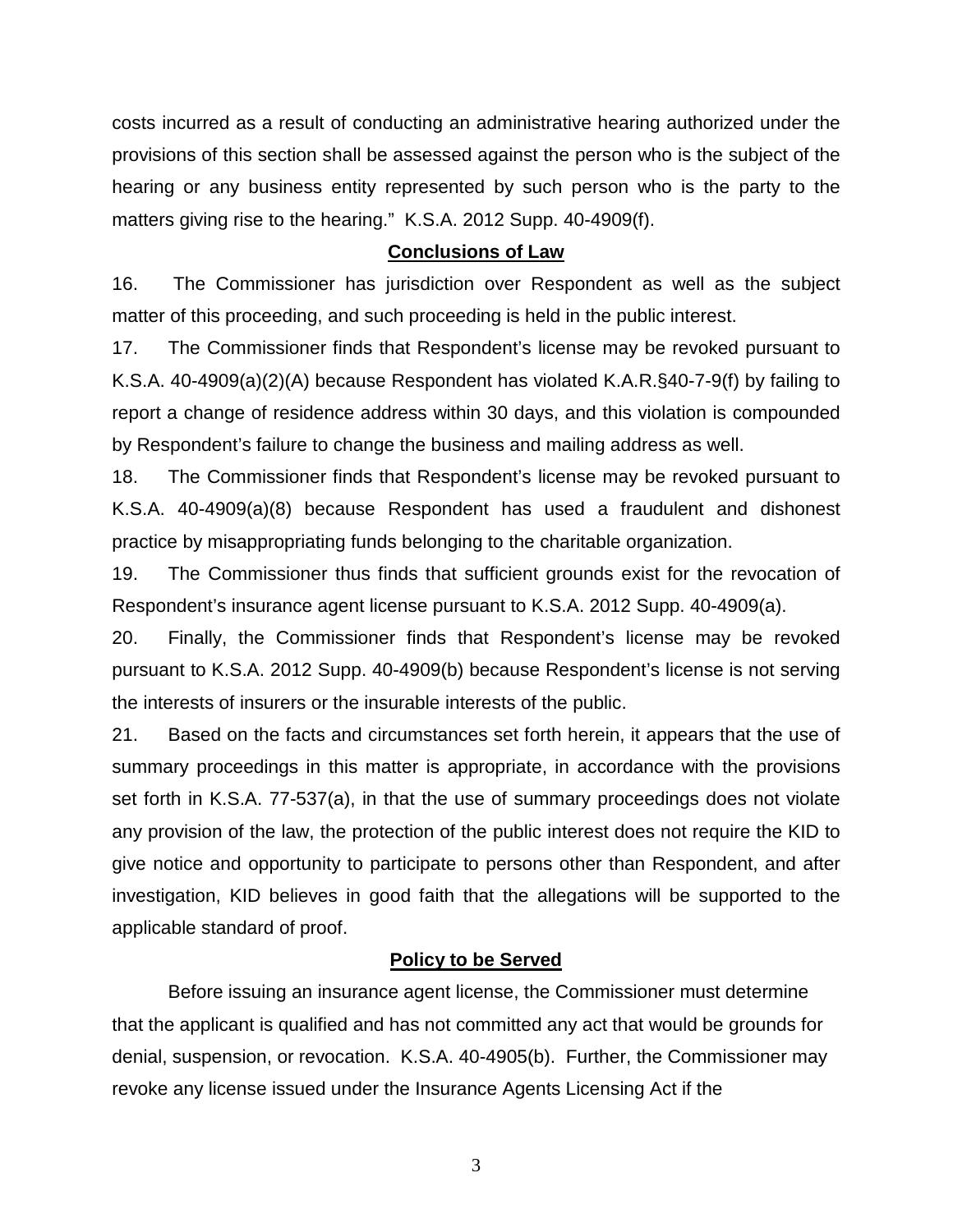costs incurred as a result of conducting an administrative hearing authorized under the provisions of this section shall be assessed against the person who is the subject of the hearing or any business entity represented by such person who is the party to the matters giving rise to the hearing." K.S.A. 2012 Supp. 40-4909(f).

#### **Conclusions of Law**

16. The Commissioner has jurisdiction over Respondent as well as the subject matter of this proceeding, and such proceeding is held in the public interest.

17. The Commissioner finds that Respondent's license may be revoked pursuant to K.S.A. 40-4909(a)(2)(A) because Respondent has violated K.A.R.§40-7-9(f) by failing to report a change of residence address within 30 days, and this violation is compounded by Respondent's failure to change the business and mailing address as well.

18. The Commissioner finds that Respondent's license may be revoked pursuant to K.S.A. 40-4909(a)(8) because Respondent has used a fraudulent and dishonest practice by misappropriating funds belonging to the charitable organization.

19. The Commissioner thus finds that sufficient grounds exist for the revocation of Respondent's insurance agent license pursuant to K.S.A. 2012 Supp. 40-4909(a).

20. Finally, the Commissioner finds that Respondent's license may be revoked pursuant to K.S.A. 2012 Supp. 40-4909(b) because Respondent's license is not serving the interests of insurers or the insurable interests of the public.

21. Based on the facts and circumstances set forth herein, it appears that the use of summary proceedings in this matter is appropriate, in accordance with the provisions set forth in K.S.A. 77-537(a), in that the use of summary proceedings does not violate any provision of the law, the protection of the public interest does not require the KID to give notice and opportunity to participate to persons other than Respondent, and after investigation, KID believes in good faith that the allegations will be supported to the applicable standard of proof.

### **Policy to be Served**

Before issuing an insurance agent license, the Commissioner must determine that the applicant is qualified and has not committed any act that would be grounds for denial, suspension, or revocation. K.S.A. 40-4905(b). Further, the Commissioner may revoke any license issued under the Insurance Agents Licensing Act if the

3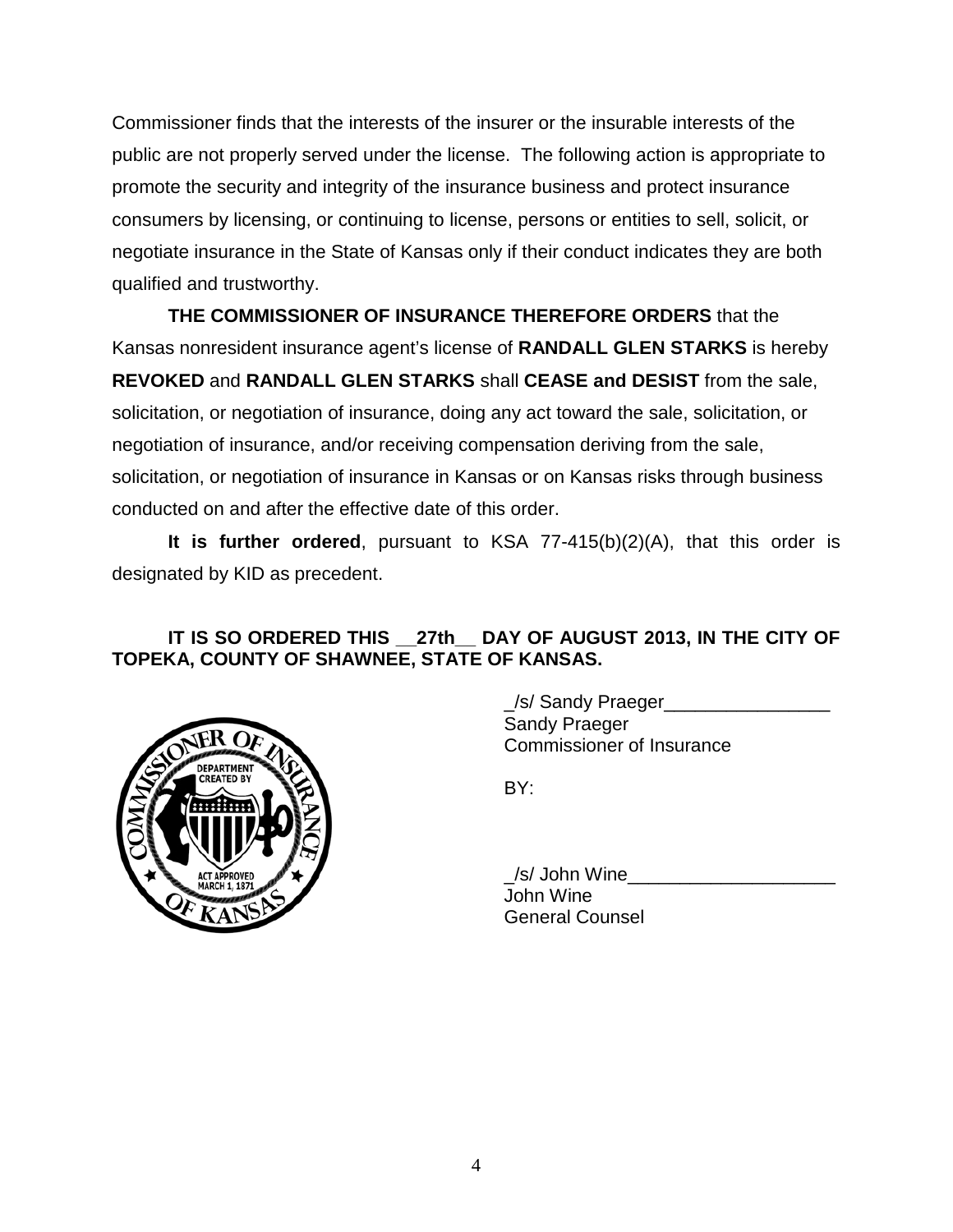Commissioner finds that the interests of the insurer or the insurable interests of the public are not properly served under the license. The following action is appropriate to promote the security and integrity of the insurance business and protect insurance consumers by licensing, or continuing to license, persons or entities to sell, solicit, or negotiate insurance in the State of Kansas only if their conduct indicates they are both qualified and trustworthy.

**THE COMMISSIONER OF INSURANCE THEREFORE ORDERS** that the Kansas nonresident insurance agent's license of **RANDALL GLEN STARKS** is hereby **REVOKED** and **RANDALL GLEN STARKS** shall **CEASE and DESIST** from the sale, solicitation, or negotiation of insurance, doing any act toward the sale, solicitation, or negotiation of insurance, and/or receiving compensation deriving from the sale, solicitation, or negotiation of insurance in Kansas or on Kansas risks through business conducted on and after the effective date of this order.

**It is further ordered**, pursuant to KSA 77-415(b)(2)(A), that this order is designated by KID as precedent.

## **IT IS SO ORDERED THIS \_\_27th\_\_ DAY OF AUGUST 2013, IN THE CITY OF TOPEKA, COUNTY OF SHAWNEE, STATE OF KANSAS.**



\_/s/ Sandy Praeger\_\_\_\_\_\_\_\_\_\_\_\_\_\_\_\_ Sandy Praeger Commissioner of Insurance

BY:

/s/ John Wine John Wine General Counsel